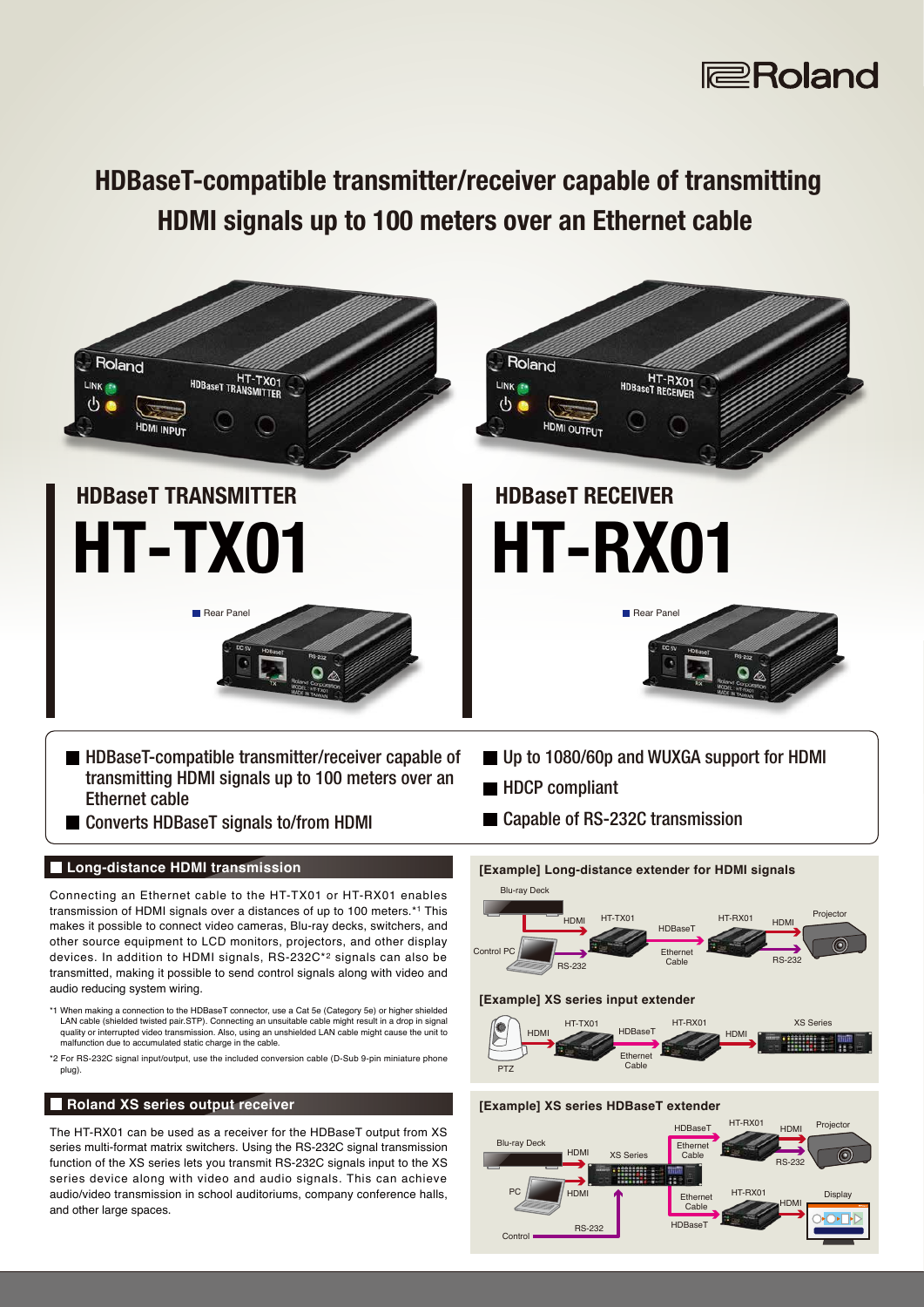

## HDBaseT-compatible transmitter/receiver capable of transmitting HDMI signals up to 100 meters over an Ethernet cable



\*2 For RS-232C signal input/output, use the included conversion cable (D-Sub 9-pin miniature phone plug).

### **Roland XS series output receiver**

The HT-RX01 can be used as a receiver for the HDBaseT output from XS series multi-format matrix switchers. Using the RS-232C signal transmission function of the XS series lets you transmit RS-232C signals input to the XS series device along with video and audio signals. This can achieve audio/video transmission in school auditoriums, company conference halls, and other large spaces.